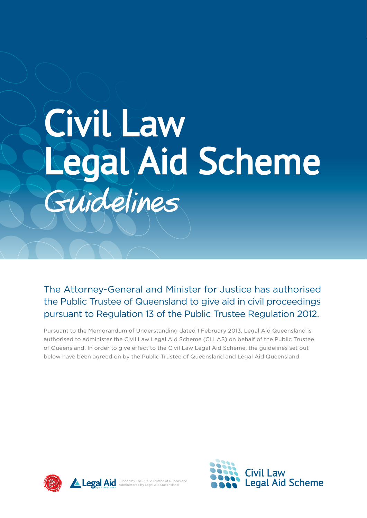# **Civil Law Legal Aid Scheme** Guidelines

The Attorney-General and Minister for Justice has authorised the Public Trustee of Queensland to give aid in civil proceedings pursuant to Regulation 13 of the Public Trustee Regulation 2012.

Pursuant to the Memorandum of Understanding dated 1 February 2013, Legal Aid Queensland is authorised to administer the Civil Law Legal Aid Scheme (CLLAS) on behalf of the Public Trustee of Queensland. In order to give effect to the Civil Law Legal Aid Scheme, the guidelines set out below have been agreed on by the Public Trustee of Queensland and Legal Aid Queensland.





Funded by The Public Trustee of Queensland Administered by Legal Aid Queensland

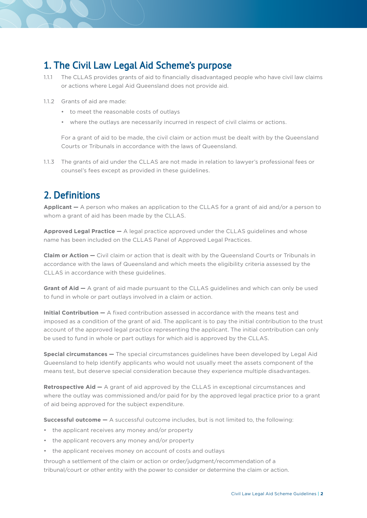## **1. The Civil Law Legal Aid Scheme's purpose**

- 1.1.1 The CLLAS provides grants of aid to financially disadvantaged people who have civil law claims or actions where Legal Aid Queensland does not provide aid.
- 1.1.2 Grants of aid are made:
	- • to meet the reasonable costs of outlays
	- • where the outlays are necessarily incurred in respect of civil claims or actions.

For a grant of aid to be made, the civil claim or action must be dealt with by the Queensland Courts or Tribunals in accordance with the laws of Queensland.

1.1.3 The grants of aid under the CLLAS are not made in relation to lawyer's professional fees or counsel's fees except as provided in these guidelines.

## **2. Definitions**

**Applicant —** A person who makes an application to the CLLAS for a grant of aid and/or a person to whom a grant of aid has been made by the CLLAS.

**Approved Legal Practice —** A legal practice approved under the CLLAS guidelines and whose name has been included on the CLLAS Panel of Approved Legal Practices.

**Claim or Action —** Civil claim or action that is dealt with by the Queensland Courts or Tribunals in accordance with the laws of Queensland and which meets the eligibility criteria assessed by the CLLAS in accordance with these guidelines.

**Grant of Aid —** A grant of aid made pursuant to the CLLAS guidelines and which can only be used to fund in whole or part outlays involved in a claim or action.

**Initial Contribution —** A fixed contribution assessed in accordance with the means test and imposed as a condition of the grant of aid. The applicant is to pay the initial contribution to the trust account of the approved legal practice representing the applicant. The initial contribution can only be used to fund in whole or part outlays for which aid is approved by the CLLAS.

**Special circumstances —** The special circumstances guidelines have been developed by Legal Aid Queensland to help identify applicants who would not usually meet the assets component of the means test, but deserve special consideration because they experience multiple disadvantages.

**Retrospective Aid –** A grant of aid approved by the CLLAS in exceptional circumstances and where the outlay was commissioned and/or paid for by the approved legal practice prior to a grant of aid being approved for the subject expenditure.

**Successful outcome —** A successful outcome includes, but is not limited to, the following:

- the applicant receives any money and/or property
- the applicant recovers any money and/or property
- the applicant receives money on account of costs and outlays

through a settlement of the claim or action or order/judgment/recommendation of a tribunal/court or other entity with the power to consider or determine the claim or action.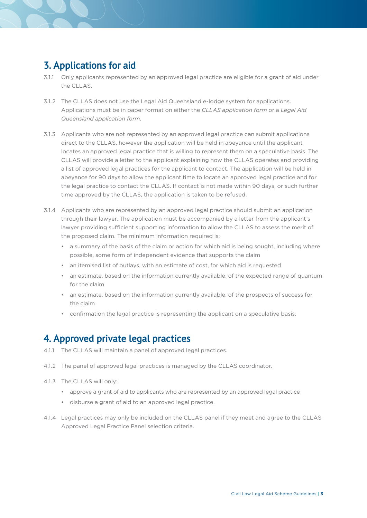## **3. Applications for aid**

- 3.1.1 Only applicants represented by an approved legal practice are eligible for a grant of aid under the CLLAS.
- 3.1.2 The CLLAS does not use the Legal Aid Queensland e-lodge system for applications. Applications must be in paper format on either the *CLLAS application form* or a *Legal Aid Queensland application form*.
- 3.1.3 Applicants who are not represented by an approved legal practice can submit applications direct to the CLLAS, however the application will be held in abeyance until the applicant locates an approved legal practice that is willing to represent them on a speculative basis. The CLLAS will provide a letter to the applicant explaining how the CLLAS operates and providing a list of approved legal practices for the applicant to contact. The application will be held in abeyance for 90 days to allow the applicant time to locate an approved legal practice and for the legal practice to contact the CLLAS. If contact is not made within 90 days, or such further time approved by the CLLAS, the application is taken to be refused.
- 3.1.4 Applicants who are represented by an approved legal practice should submit an application through their lawyer. The application must be accompanied by a letter from the applicant's lawyer providing sufficient supporting information to allow the CLLAS to assess the merit of the proposed claim. The minimum information required is:
	- a summary of the basis of the claim or action for which aid is being sought, including where possible, some form of independent evidence that supports the claim
	- • an itemised list of outlays, with an estimate of cost, for which aid is requested
	- • an estimate, based on the information currently available, of the expected range of quantum for the claim
	- • an estimate, based on the information currently available, of the prospects of success for the claim
	- • confirmation the legal practice is representing the applicant on a speculative basis.

#### **4. Approved private legal practices**

- 4.1.1 The CLLAS will maintain a panel of approved legal practices.
- 4.1.2 The panel of approved legal practices is managed by the CLLAS coordinator.
- 4.1.3 The CLLAS will only:
	- • approve a grant of aid to applicants who are represented by an approved legal practice
	- • disburse a grant of aid to an approved legal practice.
- 4.1.4 Legal practices may only be included on the CLLAS panel if they meet and agree to the CLLAS Approved Legal Practice Panel selection criteria.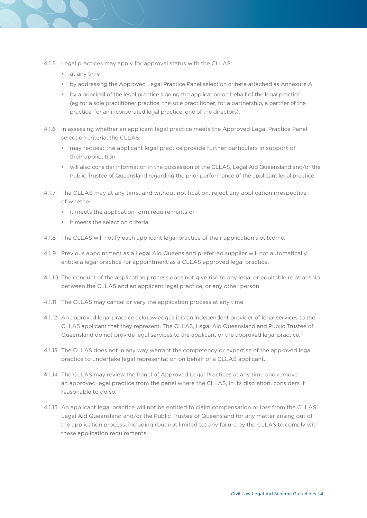- 4.1.5 Legal practices may apply for approval status with the CLLAS:
	- • at any time
	- • by addressing the Approved Legal Practice Panel selection criteria attached as Annexure A
	- by a principal of the legal practice signing the application on behalf of the legal practice (eg for a sole practitioner practice, the sole practitioner; for a partnership, a partner of the practice; for an incorporated legal practice, one of the directors).
- 4.1.6 In assessing whether an applicant legal practice meets the Approved Legal Practice Panel selection criteria, the CLLAS:
	- • may request the applicant legal practice provide further particulars in support of their application
	- • will also consider information in the possession of the CLLAS, Legal Aid Queensland and/or the Public Trustee of Queensland regarding the prior performance of the applicant legal practice.
- 4.1.7 The CLLAS may at any time, and without notification, reject any application irrespective of whether:
	- • it meets the application form requirements or
	- it meets the selection criteria
- 4.1.8 The CLLAS will notify each applicant legal practice of their application's outcome.
- 4.1.9 Previous appointment as a Legal Aid Queensland preferred supplier will not automatically entitle a legal practice for appointment as a CLLAS approved legal practice.
- 4.1.10 The conduct of the application process does not give rise to any legal or equitable relationship between the CLLAS and an applicant legal practice, or any other person.
- 4.1.11 The CLLAS may cancel or vary the application process at any time.
- 4.1.12 An approved legal practice acknowledges it is an independent provider of legal services to the CLLAS applicant that they represent. The CLLAS, Legal Aid Queensland and Public Trustee of Queensland do not provide legal services to the applicant or the approved legal practice.
- 4.1.13 The CLLAS does not in any way warrant the competency or expertise of the approved legal practice to undertake legal representation on behalf of a CLLAS applicant.
- 4.1.14 The CLLAS may review the Panel of Approved Legal Practices at any time and remove an approved legal practice from the panel where the CLLAS, in its discretion, considers it reasonable to do so.
- 4.1.15 An applicant legal practice will not be entitled to claim compensation or loss from the CLLAS, Legal Aid Queensland and/or the Public Trustee of Queensland for any matter arising out of the application process, including (but not limited to) any failure by the CLLAS to comply with these application requirements.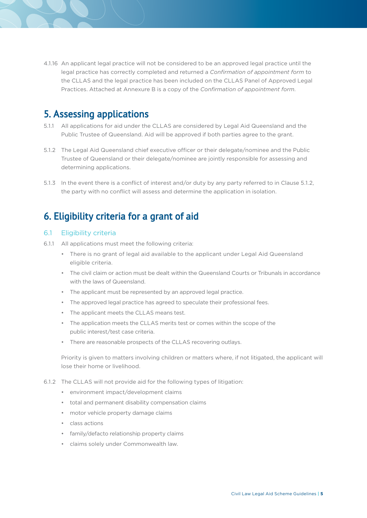4.1.16 An applicant legal practice will not be considered to be an approved legal practice until the legal practice has correctly completed and returned a *Confirmation of appointment form* to the CLLAS and the legal practice has been included on the CLLAS Panel of Approved Legal Practices. Attached at Annexure B is a copy of the *Confirmation of appointment form*.

#### **5. Assessing applications**

- 5.1.1 All applications for aid under the CLLAS are considered by Legal Aid Queensland and the Public Trustee of Queensland. Aid will be approved if both parties agree to the grant.
- 5.1.2 The Legal Aid Queensland chief executive officer or their delegate/nominee and the Public Trustee of Queensland or their delegate/nominee are jointly responsible for assessing and determining applications.
- 5.1.3 In the event there is a conflict of interest and/or duty by any party referred to in Clause 5.1.2, the party with no conflict will assess and determine the application in isolation.

## **6. Eligibility criteria for a grant of aid**

#### 6.1 Eligibility criteria

- 6.1.1 All applications must meet the following criteria:
	- There is no grant of legal aid available to the applicant under Legal Aid Queensland eligible criteria.
	- • The civil claim or action must be dealt within the Queensland Courts or Tribunals in accordance with the laws of Queensland.
	- The applicant must be represented by an approved legal practice.
	- The approved legal practice has agreed to speculate their professional fees.
	- • The applicant meets the CLLAS means test.
	- • The application meets the CLLAS merits test or comes within the scope of the public interest/test case criteria.
	- There are reasonable prospects of the CLLAS recovering outlays.

Priority is given to matters involving children or matters where, if not litigated, the applicant will lose their home or livelihood.

6.1.2 The CLLAS will not provide aid for the following types of litigation:

- • environment impact/development claims
- • total and permanent disability compensation claims
- • motor vehicle property damage claims
- • class actions
- • family/defacto relationship property claims
- • claims solely under Commonwealth law.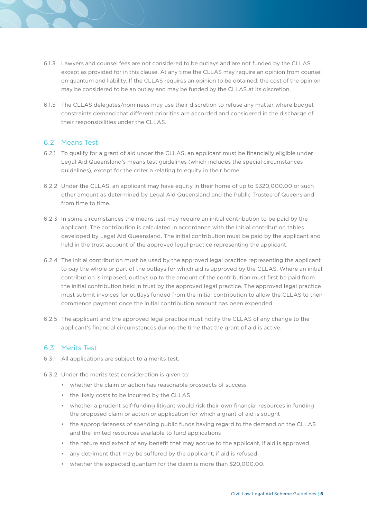- 6.1.3 Lawyers and counsel fees are not considered to be outlays and are not funded by the CLLAS except as provided for in this clause. At any time the CLLAS may require an opinion from counsel on quantum and liability. If the CLLAS requires an opinion to be obtained, the cost of the opinion may be considered to be an outlay and may be funded by the CLLAS at its discretion.
- 6.1.5 The CLLAS delegates/nominees may use their discretion to refuse any matter where budget constraints demand that different priorities are accorded and considered in the discharge of their responsibilities under the CLLAS.

#### 6.2 Means Test

- 6.2.1 To qualify for a grant of aid under the CLLAS, an applicant must be financially eligible under Legal Aid Queensland's means test guidelines (which includes the special circumstances guidelines), except for the criteria relating to equity in their home.
- 6.2.2 Under the CLLAS, an applicant may have equity in their home of up to \$320,000.00 or such other amount as determined by Legal Aid Queensland and the Public Trustee of Queensland from time to time.
- 6.2.3 In some circumstances the means test may require an initial contribution to be paid by the applicant. The contribution is calculated in accordance with the initial contribution tables developed by Legal Aid Queensland. The initial contribution must be paid by the applicant and held in the trust account of the approved legal practice representing the applicant.
- 6.2.4 The initial contribution must be used by the approved legal practice representing the applicant to pay the whole or part of the outlays for which aid is approved by the CLLAS. Where an initial contribution is imposed, outlays up to the amount of the contribution must first be paid from the initial contribution held in trust by the approved legal practice. The approved legal practice must submit invoices for outlays funded from the initial contribution to allow the CLLAS to then commence payment once the initial contribution amount has been expended.
- 6.2.5 The applicant and the approved legal practice must notify the CLLAS of any change to the applicant's financial circumstances during the time that the grant of aid is active.

#### 6.3 Merits Test

- 6.3.1 All applications are subject to a merits test.
- 6.3.2 Under the merits test consideration is given to:
	- whether the claim or action has reasonable prospects of success
	- the likely costs to be incurred by the CLLAS
	- whether a prudent self-funding litigant would risk their own financial resources in funding the proposed claim or action or application for which a grant of aid is sought
	- the appropriateness of spending public funds having regard to the demand on the CLLAS and the limited resources available to fund applications
	- the nature and extent of any benefit that may accrue to the applicant, if aid is approved
	- • any detriment that may be suffered by the applicant, if aid is refused
	- whether the expected quantum for the claim is more than \$20,000.00.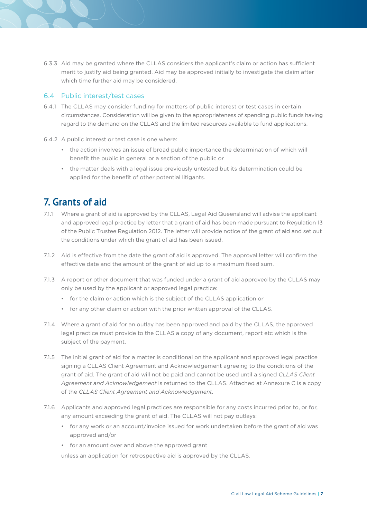6.3.3 Aid may be granted where the CLLAS considers the applicant's claim or action has sufficient merit to justify aid being granted. Aid may be approved initially to investigate the claim after which time further aid may be considered.

#### 6.4 Public interest/test cases

- 6.4.1 The CLLAS may consider funding for matters of public interest or test cases in certain circumstances. Consideration will be given to the appropriateness of spending public funds having regard to the demand on the CLLAS and the limited resources available to fund applications.
- 6.4.2 A public interest or test case is one where:
	- the action involves an issue of broad public importance the determination of which will benefit the public in general or a section of the public or
	- • the matter deals with a legal issue previously untested but its determination could be applied for the benefit of other potential litigants.

#### **7. Grants of aid**

- 7.1.1 Where a grant of aid is approved by the CLLAS, Legal Aid Queensland will advise the applicant and approved legal practice by letter that a grant of aid has been made pursuant to Regulation 13 of the Public Trustee Regulation 2012. The letter will provide notice of the grant of aid and set out the conditions under which the grant of aid has been issued.
- 7.1.2 Aid is effective from the date the grant of aid is approved. The approval letter will confirm the effective date and the amount of the grant of aid up to a maximum fixed sum.
- 7.1.3 A report or other document that was funded under a grant of aid approved by the CLLAS may only be used by the applicant or approved legal practice:
	- for the claim or action which is the subject of the CLLAS application or
	- for any other claim or action with the prior written approval of the CLLAS.
- 7.1.4 Where a grant of aid for an outlay has been approved and paid by the CLLAS, the approved legal practice must provide to the CLLAS a copy of any document, report etc which is the subject of the payment.
- 7.1.5 The initial grant of aid for a matter is conditional on the applicant and approved legal practice signing a CLLAS Client Agreement and Acknowledgement agreeing to the conditions of the grant of aid. The grant of aid will not be paid and cannot be used until a signed *CLLAS Client Agreement and Acknowledgement* is returned to the CLLAS. Attached at Annexure C is a copy of the *CLLAS Client Agreement and Acknowledgement*.
- 7.1.6 Applicants and approved legal practices are responsible for any costs incurred prior to, or for, any amount exceeding the grant of aid. The CLLAS will not pay outlays:
	- • for any work or an account/invoice issued for work undertaken before the grant of aid was approved and/or
	- • for an amount over and above the approved grant

unless an application for retrospective aid is approved by the CLLAS.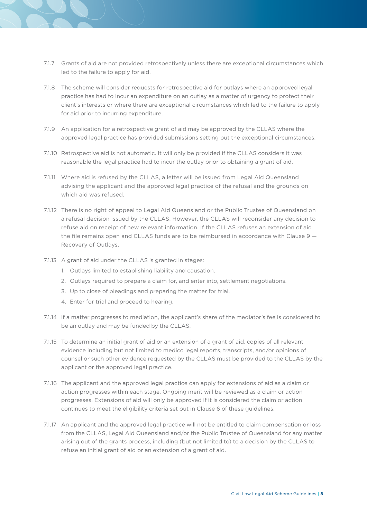- 7.1.7 Grants of aid are not provided retrospectively unless there are exceptional circumstances which led to the failure to apply for aid.
- 7.1.8 The scheme will consider requests for retrospective aid for outlays where an approved legal practice has had to incur an expenditure on an outlay as a matter of urgency to protect their client's interests or where there are exceptional circumstances which led to the failure to apply for aid prior to incurring expenditure.
- 7.1.9 An application for a retrospective grant of aid may be approved by the CLLAS where the approved legal practice has provided submissions setting out the exceptional circumstances.
- 7.1.10 Retrospective aid is not automatic. It will only be provided if the CLLAS considers it was reasonable the legal practice had to incur the outlay prior to obtaining a grant of aid.
- 7.1.11 Where aid is refused by the CLLAS, a letter will be issued from Legal Aid Queensland advising the applicant and the approved legal practice of the refusal and the grounds on which aid was refused.
- 7.1.12 There is no right of appeal to Legal Aid Queensland or the Public Trustee of Queensland on a refusal decision issued by the CLLAS. However, the CLLAS will reconsider any decision to refuse aid on receipt of new relevant information. If the CLLAS refuses an extension of aid the file remains open and CLLAS funds are to be reimbursed in accordance with Clause  $9 -$ Recovery of Outlays.
- 7.1.13 A grant of aid under the CLLAS is granted in stages:
	- 1. Outlays limited to establishing liability and causation.
	- 2. Outlays required to prepare a claim for, and enter into, settlement negotiations.
	- 3. Up to close of pleadings and preparing the matter for trial.
	- 4. Enter for trial and proceed to hearing.
- 7.1.14 If a matter progresses to mediation, the applicant's share of the mediator's fee is considered to be an outlay and may be funded by the CLLAS.
- 7.1.15 To determine an initial grant of aid or an extension of a grant of aid, copies of all relevant evidence including but not limited to medico legal reports, transcripts, and/or opinions of counsel or such other evidence requested by the CLLAS must be provided to the CLLAS by the applicant or the approved legal practice.
- 7.1.16 The applicant and the approved legal practice can apply for extensions of aid as a claim or action progresses within each stage. Ongoing merit will be reviewed as a claim or action progresses. Extensions of aid will only be approved if it is considered the claim or action continues to meet the eligibility criteria set out in Clause 6 of these guidelines.
- 7.1.17 An applicant and the approved legal practice will not be entitled to claim compensation or loss from the CLLAS, Legal Aid Queensland and/or the Public Trustee of Queensland for any matter arising out of the grants process, including (but not limited to) to a decision by the CLLAS to refuse an initial grant of aid or an extension of a grant of aid.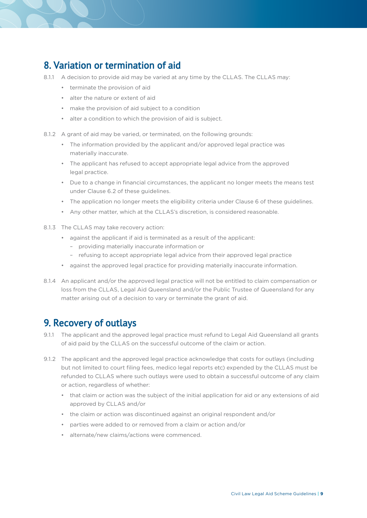#### **8. Variation or termination of aid**

- 8.1.1 A decision to provide aid may be varied at any time by the CLLAS. The CLLAS may:
	- • terminate the provision of aid
	- • alter the nature or extent of aid
	- • make the provision of aid subject to a condition
	- • alter a condition to which the provision of aid is subject.
- 8.1.2 A grant of aid may be varied, or terminated, on the following grounds:
	- • The information provided by the applicant and/or approved legal practice was materially inaccurate.
	- • The applicant has refused to accept appropriate legal advice from the approved legal practice.
	- • Due to a change in financial circumstances, the applicant no longer meets the means test under Clause 6.2 of these guidelines.
	- • The application no longer meets the eligibility criteria under Clause 6 of these guidelines.
	- Any other matter, which at the CLLAS's discretion, is considered reasonable.
- 8.1.3 The CLLAS may take recovery action:
	- • against the applicant if aid is terminated as a result of the applicant:
		- providing materially inaccurate information or
		- refusing to accept appropriate legal advice from their approved legal practice
	- • against the approved legal practice for providing materially inaccurate information.
- 8.1.4 An applicant and/or the approved legal practice will not be entitled to claim compensation or loss from the CLLAS, Legal Aid Queensland and/or the Public Trustee of Queensland for any matter arising out of a decision to vary or terminate the grant of aid.

#### **9. Recovery of outlays**

- 9.1.1 The applicant and the approved legal practice must refund to Legal Aid Queensland all grants of aid paid by the CLLAS on the successful outcome of the claim or action.
- 9.1.2 The applicant and the approved legal practice acknowledge that costs for outlays (including but not limited to court filing fees, medico legal reports etc) expended by the CLLAS must be refunded to CLLAS where such outlays were used to obtain a successful outcome of any claim or action, regardless of whether:
	- • that claim or action was the subject of the initial application for aid or any extensions of aid approved by CLLAS and/or
	- the claim or action was discontinued against an original respondent and/or
	- • parties were added to or removed from a claim or action and/or
	- • alternate/new claims/actions were commenced.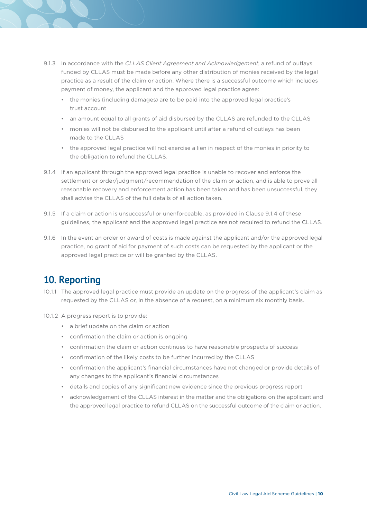- 9.1.3 In accordance with the *CLLAS Client Agreement and Acknowledgement*, a refund of outlays funded by CLLAS must be made before any other distribution of monies received by the legal practice as a result of the claim or action. Where there is a successful outcome which includes payment of money, the applicant and the approved legal practice agree:
	- • the monies (including damages) are to be paid into the approved legal practice's trust account
	- • an amount equal to all grants of aid disbursed by the CLLAS are refunded to the CLLAS
	- monies will not be disbursed to the applicant until after a refund of outlays has been made to the CLLAS
	- the approved legal practice will not exercise a lien in respect of the monies in priority to the obligation to refund the CLLAS.
- 9.1.4 If an applicant through the approved legal practice is unable to recover and enforce the settlement or order/judgment/recommendation of the claim or action, and is able to prove all reasonable recovery and enforcement action has been taken and has been unsuccessful, they shall advise the CLLAS of the full details of all action taken.
- 9.1.5 If a claim or action is unsuccessful or unenforceable, as provided in Clause 9.1.4 of these guidelines, the applicant and the approved legal practice are not required to refund the CLLAS.
- 9.1.6 In the event an order or award of costs is made against the applicant and/or the approved legal practice, no grant of aid for payment of such costs can be requested by the applicant or the approved legal practice or will be granted by the CLLAS.

## **10. Reporting**

- 10.1.1 The approved legal practice must provide an update on the progress of the applicant's claim as requested by the CLLAS or, in the absence of a request, on a minimum six monthly basis.
- 10.1.2 A progress report is to provide:
	- • a brief update on the claim or action
	- • confirmation the claim or action is ongoing
	- • confirmation the claim or action continues to have reasonable prospects of success
	- • confirmation of the likely costs to be further incurred by the CLLAS
	- • confirmation the applicant's financial circumstances have not changed or provide details of any changes to the applicant's financial circumstances
	- • details and copies of any significant new evidence since the previous progress report
	- • acknowledgement of the CLLAS interest in the matter and the obligations on the applicant and the approved legal practice to refund CLLAS on the successful outcome of the claim or action.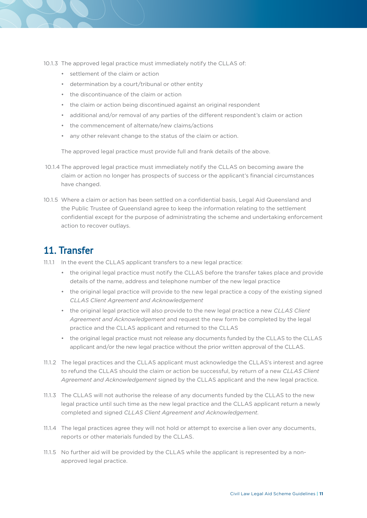- 10.1.3 The approved legal practice must immediately notify the CLLAS of:
	- • settlement of the claim or action
	- • determination by a court/tribunal or other entity
	- • the discontinuance of the claim or action
	- the claim or action being discontinued against an original respondent
	- • additional and/or removal of any parties of the different respondent's claim or action
	- • the commencement of alternate/new claims/actions
	- • any other relevant change to the status of the claim or action.

The approved legal practice must provide full and frank details of the above.

- 10.1.4 The approved legal practice must immediately notify the CLLAS on becoming aware the claim or action no longer has prospects of success or the applicant's financial circumstances have changed.
- 10.1.5 Where a claim or action has been settled on a confidential basis, Legal Aid Queensland and the Public Trustee of Queensland agree to keep the information relating to the settlement confidential except for the purpose of administrating the scheme and undertaking enforcement action to recover outlays.

#### **11. Transfer**

- 11.1.1 In the event the CLLAS applicant transfers to a new legal practice:
	- • the original legal practice must notify the CLLAS before the transfer takes place and provide details of the name, address and telephone number of the new legal practice
	- • the original legal practice will provide to the new legal practice a copy of the existing signed *CLLAS Client Agreement and Acknowledgement*
	- • the original legal practice will also provide to the new legal practice a new *CLLAS Client Agreement and Acknowledgement* and request the new form be completed by the legal practice and the CLLAS applicant and returned to the CLLAS
	- the original legal practice must not release any documents funded by the CLLAS to the CLLAS applicant and/or the new legal practice without the prior written approval of the CLLAS.
- 11.1.2 The legal practices and the CLLAS applicant must acknowledge the CLLAS's interest and agree to refund the CLLAS should the claim or action be successful, by return of a new *CLLAS Client Agreement and Acknowledgement* signed by the CLLAS applicant and the new legal practice.
- 11.1.3 The CLLAS will not authorise the release of any documents funded by the CLLAS to the new legal practice until such time as the new legal practice and the CLLAS applicant return a newly completed and signed *CLLAS Client Agreement and Acknowledgement*.
- 11.1.4 The legal practices agree they will not hold or attempt to exercise a lien over any documents, reports or other materials funded by the CLLAS.
- 11.1.5 No further aid will be provided by the CLLAS while the applicant is represented by a nonapproved legal practice.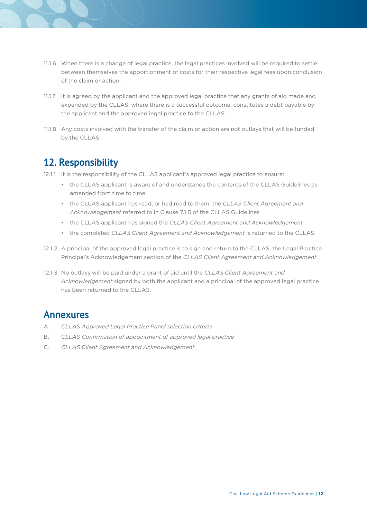- 11.1.6 When there is a change of legal practice, the legal practices involved will be required to settle between themselves the apportionment of costs for their respective legal fees upon conclusion of the claim or action.
- 11.1.7 It is agreed by the applicant and the approved legal practice that any grants of aid made and expended by the CLLAS, where there is a successful outcome, constitutes a debt payable by the applicant and the approved legal practice to the CLLAS.
- 11.1.8 Any costs involved with the transfer of the claim or action are not outlays that will be funded by the CLLAS.

#### **12. Responsibility**

- 12.1.1 It is the responsibility of the CLLAS applicant's approved legal practice to ensure:
	- • the CLLAS applicant is aware of and understands the contents of the CLLAS Guidelines as amended from time to time
	- • the CLLAS applicant has read, or had read to them, the *CLLAS Client Agreement and Acknowledgement* referred to in Clause 7.1.5 of the CLLAS Guidelines
	- • the CLLAS applicant has signed the *CLLAS Client Agreement and Acknowledgement*
	- • the completed *CLLAS Client Agreement and Acknowledgement* is returned to the CLLAS.
- 12.1.2 A principal of the approved legal practice is to sign and return to the CLLAS, the Legal Practice Principal's Acknowledgement section of the *CLLAS Client Agreement and Acknowledgement*.
- 12.1.3 No outlays will be paid under a grant of aid until the *CLLAS Client Agreement and Acknowledgement* signed by both the applicant and a principal of the approved legal practice has been returned to the CLLAS.

#### **Annexures**

- A. *CLLAS Approved Legal Practice Panel selection criteria*
- B. *CLLAS Confirmation of appointment of approved legal practice*
- C. *CLLAS Client Agreement and Acknowledgement*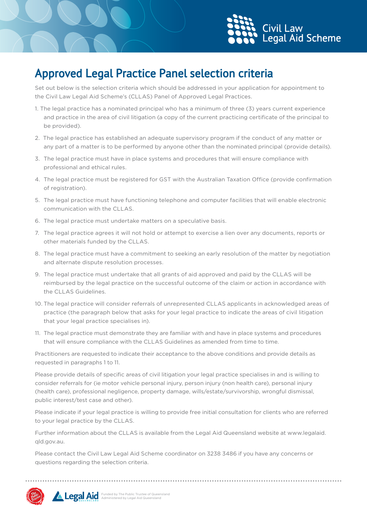

## **Approved Legal Practice Panel selection criteria**

Set out below is the selection criteria which should be addressed in your application for appointment to the Civil Law Legal Aid Scheme's (CLLAS) Panel of Approved Legal Practices.

- 1. The legal practice has a nominated principal who has a minimum of three (3) years current experience and practice in the area of civil litigation (a copy of the current practicing certificate of the principal to be provided).
- 2. The legal practice has established an adequate supervisory program if the conduct of any matter or any part of a matter is to be performed by anyone other than the nominated principal (provide details).
- 3. The legal practice must have in place systems and procedures that will ensure compliance with professional and ethical rules.
- 4. The legal practice must be registered for GST with the Australian Taxation Office (provide confirmation of registration).
- 5. The legal practice must have functioning telephone and computer facilities that will enable electronic communication with the CLLAS.
- 6. The legal practice must undertake matters on a speculative basis.
- 7. The legal practice agrees it will not hold or attempt to exercise a lien over any documents, reports or other materials funded by the CLLAS.
- 8. The legal practice must have a commitment to seeking an early resolution of the matter by negotiation and alternate dispute resolution processes.
- 9. The legal practice must undertake that all grants of aid approved and paid by the CLLAS will be reimbursed by the legal practice on the successful outcome of the claim or action in accordance with the CLLAS Guidelines.
- 10. The legal practice will consider referrals of unrepresented CLLAS applicants in acknowledged areas of practice (the paragraph below that asks for your legal practice to indicate the areas of civil litigation that your legal practice specialises in).
- 11. The legal practice must demonstrate they are familiar with and have in place systems and procedures that will ensure compliance with the CLLAS Guidelines as amended from time to time.

Practitioners are requested to indicate their acceptance to the above conditions and provide details as requested in paragraphs 1 to 11.

Please provide details of specific areas of civil litigation your legal practice specialises in and is willing to consider referrals for (ie motor vehicle personal injury, person injury (non health care), personal injury (health care), professional negligence, property damage, wills/estate/survivorship, wrongful dismissal, public interest/test case and other).

Please indicate if your legal practice is willing to provide free initial consultation for clients who are referred to your legal practice by the CLLAS.

Further information about the CLLAS is available from the Legal Aid Queensland website at www.legalaid. qld.gov.au.

Please contact the Civil Law Legal Aid Scheme coordinator on 3238 3486 if you have any concerns or questions regarding the selection criteria.



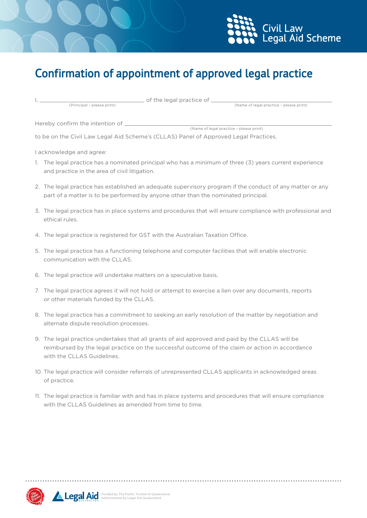



# **Confirmation of appointment of approved legal practice**

I, of the legal practice of

(Name of legal practice - please print)

Hereby confirm the intention of <u>Community Conservative experiments</u> (Name of legal practice – please print)

to be on the Civil Law Legal Aid Scheme's (CLLAS) Panel of Approved Legal Practices.

I acknowledge and agree:

- 1. The legal practice has a nominated principal who has a minimum of three (3) years current experience and practice in the area of civil litigation.
- 2. The legal practice has established an adequate supervisory program if the conduct of any matter or any part of a matter is to be performed by anyone other than the nominated principal.
- 3. The legal practice has in place systems and procedures that will ensure compliance with professional and ethical rules.
- 4. The legal practice is registered for GST with the Australian Taxation Office.
- 5. The legal practice has a functioning telephone and computer facilities that will enable electronic communication with the CLLAS.
- 6. The legal practice will undertake matters on a speculative basis.
- 7. The legal practice agrees it will not hold or attempt to exercise a lien over any documents, reports or other materials funded by the CLLAS.
- 8. The legal practice has a commitment to seeking an early resolution of the matter by negotiation and alternate dispute resolution processes.
- 9. The legal practice undertakes that all grants of aid approved and paid by the CLLAS will be reimbursed by the legal practice on the successful outcome of the claim or action in accordance with the CLLAS Guidelines.
- 10. The legal practice will consider referrals of unrepresented CLLAS applicants in acknowledged areas of practice.
- 11. The legal practice is familiar with and has in place systems and procedures that will ensure compliance with the CLLAS Guidelines as amended from time to time.



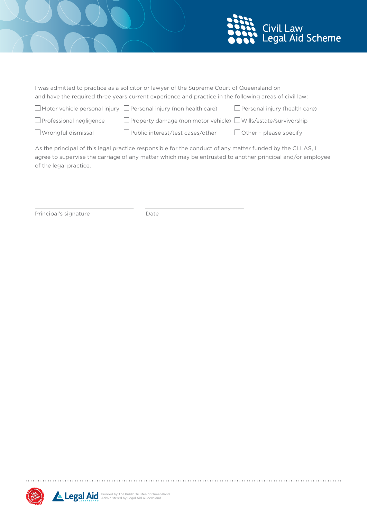

| I was admitted to practice as a solicitor or lawyer of the Supreme Court of Queensland on              |                                                                               |                                      |
|--------------------------------------------------------------------------------------------------------|-------------------------------------------------------------------------------|--------------------------------------|
| and have the required three years current experience and practice in the following areas of civil law: |                                                                               |                                      |
|                                                                                                        | $\Box$ Motor vehicle personal injury $\Box$ Personal injury (non health care) | $\Box$ Personal injury (health care) |
| Professional negligence                                                                                | $\Box$ Property damage (pop motor vehicle) $\Box$ Wills /estate/survivorship  |                                      |

 $\Box$  Professional negligence  $\Box$  Property damage (non motor vehicle)  $\Box$  Wills/estate/survivorship  $\Box$  Wrongful dismissal  $\Box$  Public interest/test cases/other  $\Box$  Other - please specify

As the principal of this legal practice responsible for the conduct of any matter funded by the CLLAS, I agree to supervise the carriage of any matter which may be entrusted to another principal and/or employee of the legal practice.

Principal's signature Date



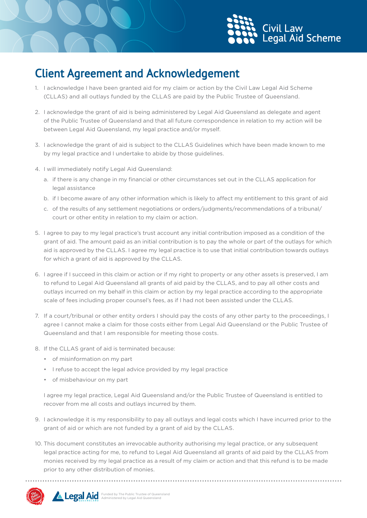

# **Client Agreement and Acknowledgement**

- 1. I acknowledge I have been granted aid for my claim or action by the Civil Law Legal Aid Scheme (CLLAS) and all outlays funded by the CLLAS are paid by the Public Trustee of Queensland.
- 2. I acknowledge the grant of aid is being administered by Legal Aid Queensland as delegate and agent of the Public Trustee of Queensland and that all future correspondence in relation to my action will be between Legal Aid Queensland, my legal practice and/or myself.
- 3. I acknowledge the grant of aid is subject to the CLLAS Guidelines which have been made known to me by my legal practice and I undertake to abide by those guidelines.
- 4. I will immediately notify Legal Aid Queensland:
	- a. if there is any change in my financial or other circumstances set out in the CLLAS application for legal assistance
	- b. if I become aware of any other information which is likely to affect my entitlement to this grant of aid
	- c. of the results of any settlement negotiations or orders/judgments/recommendations of a tribunal/ court or other entity in relation to my claim or action.
- 5. I agree to pay to my legal practice's trust account any initial contribution imposed as a condition of the grant of aid. The amount paid as an initial contribution is to pay the whole or part of the outlays for which aid is approved by the CLLAS. I agree my legal practice is to use that initial contribution towards outlays for which a grant of aid is approved by the CLLAS.
- 6. I agree if I succeed in this claim or action or if my right to property or any other assets is preserved, I am to refund to Legal Aid Queensland all grants of aid paid by the CLLAS, and to pay all other costs and outlays incurred on my behalf in this claim or action by my legal practice according to the appropriate scale of fees including proper counsel's fees, as if I had not been assisted under the CLLAS.
- 7. If a court/tribunal or other entity orders I should pay the costs of any other party to the proceedings, I agree I cannot make a claim for those costs either from Legal Aid Queensland or the Public Trustee of Queensland and that I am responsible for meeting those costs.
- 8. If the CLLAS grant of aid is terminated because:
	- • of misinformation on my part
	- I refuse to accept the legal advice provided by my legal practice
	- • of misbehaviour on my part

I agree my legal practice, Legal Aid Queensland and/or the Public Trustee of Queensland is entitled to recover from me all costs and outlays incurred by them.

- 9. I acknowledge it is my responsibility to pay all outlays and legal costs which I have incurred prior to the grant of aid or which are not funded by a grant of aid by the CLLAS.
- 10. This document constitutes an irrevocable authority authorising my legal practice, or any subsequent legal practice acting for me, to refund to Legal Aid Queensland all grants of aid paid by the CLLAS from monies received by my legal practice as a result of my claim or action and that this refund is to be made prior to any other distribution of monies.